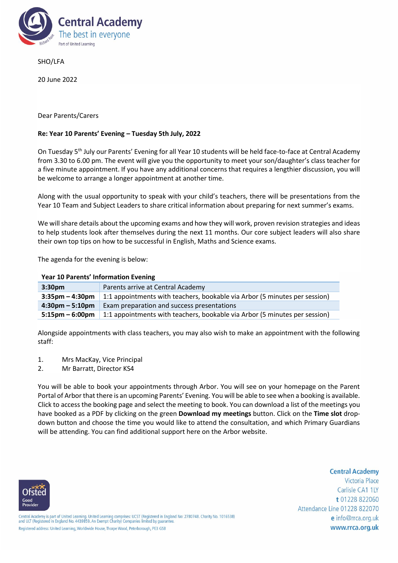

SHO/LFA

20 June 2022

## Dear Parents/Carers

## **Re: Year 10 Parents' Evening – Tuesday 5th July, 2022**

On Tuesday 5th July our Parents' Evening for all Year 10 students will be held face-to-face at Central Academy from 3.30 to 6.00 pm. The event will give you the opportunity to meet your son/daughter's class teacher for a five minute appointment. If you have any additional concerns that requires a lengthier discussion, you will be welcome to arrange a longer appointment at another time.

Along with the usual opportunity to speak with your child's teachers, there will be presentations from the Year 10 Team and Subject Leaders to share critical information about preparing for next summer's exams.

We will share details about the upcoming exams and how they will work, proven revision strategies and ideas to help students look after themselves during the next 11 months. Our core subject leaders will also share their own top tips on how to be successful in English, Maths and Science exams.

The agenda for the evening is below:

## **Year 10 Parents' Information Evening**

| 3:30 <sub>pm</sub>   | Parents arrive at Central Academy                                                              |
|----------------------|------------------------------------------------------------------------------------------------|
| $3:35$ pm $-4:30$ pm | 1:1 appointments with teachers, bookable via Arbor (5 minutes per session)                     |
|                      | $4:30 \text{pm} - 5:10 \text{pm}$ Exam preparation and success presentations                   |
|                      | 5:15pm $-$ 6:00pm   1:1 appointments with teachers, bookable via Arbor (5 minutes per session) |

Alongside appointments with class teachers, you may also wish to make an appointment with the following staff:

- 1. Mrs MacKay, Vice Principal
- 2. Mr Barratt, Director KS4

You will be able to book your appointments through Arbor. You will see on your homepage on the Parent Portal of Arbor that there is an upcoming Parents' Evening. You will be able to see when a booking is available. Click to access the booking page and select the meeting to book. You can download a list of the meetings you have booked as a PDF by clicking on the green **Download my meetings** button. Click on the **Time slot** dropdown button and choose the time you would like to attend the consultation, and which Primary Guardians will be attending. You can find additional support here on th[e Arbor website.](https://support.arbor-education.com/hc/en-us/articles/203792102-Booking-Guardian-Consultations-Parent-s-Evenings-on-the-Parent-Portal-or-Arbor-App)

## **Central Academy**

Victoria Place Carlisle CA1 1LY t 01228 822060 Attendance Line 01228 822070 e info@rrca.org.uk www.rrca.org.uk



Central Academy is part of United Learning. United Learning comprises: UCST (Registered in England No: 2780748. Charity No. 1016538)<br>and ULT (Registered in England No. 4439859. An Exempt Charity) Companies limited by guara Registered address: United Learning, Worldwide House, Thorpe Wood, Peterborough, PE3 GSB